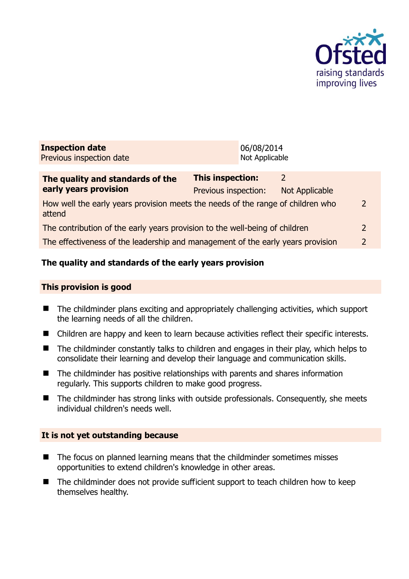

| <b>Inspection date</b><br>Previous inspection date | 06/08/2014<br>Not Applicable |
|----------------------------------------------------|------------------------------|
|                                                    |                              |
|                                                    |                              |

| The quality and standards of the                                                          | <b>This inspection:</b> | 7              |               |
|-------------------------------------------------------------------------------------------|-------------------------|----------------|---------------|
| early years provision                                                                     | Previous inspection:    | Not Applicable |               |
| How well the early years provision meets the needs of the range of children who<br>attend |                         |                | $\mathcal{L}$ |
| The contribution of the early years provision to the well-being of children               |                         |                | $\mathcal{L}$ |
| The effectiveness of the leadership and management of the early years provision           |                         |                | $\mathcal{P}$ |

## **The quality and standards of the early years provision**

#### **This provision is good**

- The childminder plans exciting and appropriately challenging activities, which support the learning needs of all the children.
- Children are happy and keen to learn because activities reflect their specific interests.
- $\blacksquare$  The childminder constantly talks to children and engages in their play, which helps to consolidate their learning and develop their language and communication skills.
- The childminder has positive relationships with parents and shares information regularly. This supports children to make good progress.
- The childminder has strong links with outside professionals. Consequently, she meets individual children's needs well.

## **It is not yet outstanding because**

- The focus on planned learning means that the childminder sometimes misses opportunities to extend children's knowledge in other areas.
- The childminder does not provide sufficient support to teach children how to keep themselves healthy.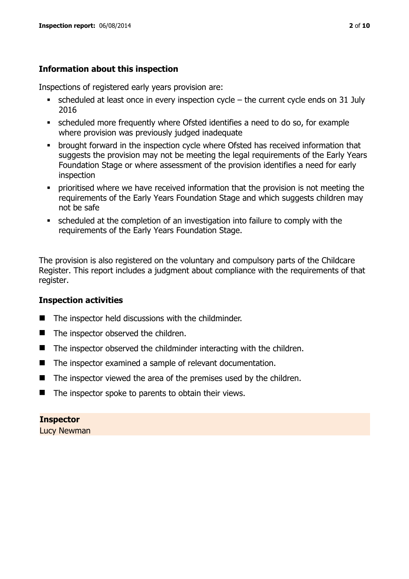## **Information about this inspection**

Inspections of registered early years provision are:

- scheduled at least once in every inspection cycle the current cycle ends on 31 July 2016
- scheduled more frequently where Ofsted identifies a need to do so, for example where provision was previously judged inadequate
- **•** brought forward in the inspection cycle where Ofsted has received information that suggests the provision may not be meeting the legal requirements of the Early Years Foundation Stage or where assessment of the provision identifies a need for early inspection
- **•** prioritised where we have received information that the provision is not meeting the requirements of the Early Years Foundation Stage and which suggests children may not be safe
- scheduled at the completion of an investigation into failure to comply with the requirements of the Early Years Foundation Stage.

The provision is also registered on the voluntary and compulsory parts of the Childcare Register. This report includes a judgment about compliance with the requirements of that register.

## **Inspection activities**

- $\blacksquare$  The inspector held discussions with the childminder.
- The inspector observed the children.
- The inspector observed the childminder interacting with the children.
- The inspector examined a sample of relevant documentation.
- $\blacksquare$  The inspector viewed the area of the premises used by the children.
- $\blacksquare$  The inspector spoke to parents to obtain their views.

#### **Inspector**

Lucy Newman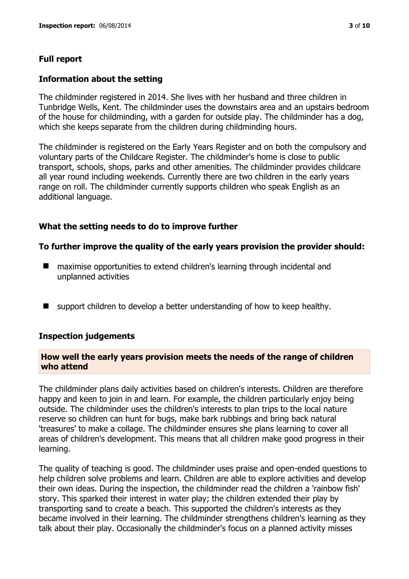#### **Full report**

#### **Information about the setting**

The childminder registered in 2014. She lives with her husband and three children in Tunbridge Wells, Kent. The childminder uses the downstairs area and an upstairs bedroom of the house for childminding, with a garden for outside play. The childminder has a dog, which she keeps separate from the children during childminding hours.

The childminder is registered on the Early Years Register and on both the compulsory and voluntary parts of the Childcare Register. The childminder's home is close to public transport, schools, shops, parks and other amenities. The childminder provides childcare all year round including weekends. Currently there are two children in the early years range on roll. The childminder currently supports children who speak English as an additional language.

#### **What the setting needs to do to improve further**

#### **To further improve the quality of the early years provision the provider should:**

- maximise opportunities to extend children's learning through incidental and unplanned activities
- support children to develop a better understanding of how to keep healthy.

#### **Inspection judgements**

#### **How well the early years provision meets the needs of the range of children who attend**

The childminder plans daily activities based on children's interests. Children are therefore happy and keen to join in and learn. For example, the children particularly enjoy being outside. The childminder uses the children's interests to plan trips to the local nature reserve so children can hunt for bugs, make bark rubbings and bring back natural 'treasures' to make a collage. The childminder ensures she plans learning to cover all areas of children's development. This means that all children make good progress in their learning.

The quality of teaching is good. The childminder uses praise and open-ended questions to help children solve problems and learn. Children are able to explore activities and develop their own ideas. During the inspection, the childminder read the children a 'rainbow fish' story. This sparked their interest in water play; the children extended their play by transporting sand to create a beach. This supported the children's interests as they became involved in their learning. The childminder strengthens children's learning as they talk about their play. Occasionally the childminder's focus on a planned activity misses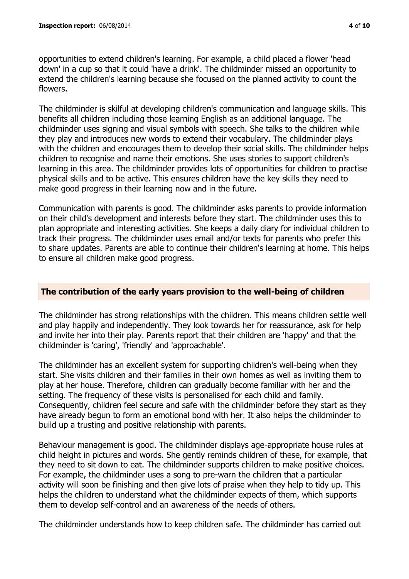opportunities to extend children's learning. For example, a child placed a flower 'head down' in a cup so that it could 'have a drink'. The childminder missed an opportunity to extend the children's learning because she focused on the planned activity to count the flowers.

The childminder is skilful at developing children's communication and language skills. This benefits all children including those learning English as an additional language. The childminder uses signing and visual symbols with speech. She talks to the children while they play and introduces new words to extend their vocabulary. The childminder plays with the children and encourages them to develop their social skills. The childminder helps children to recognise and name their emotions. She uses stories to support children's learning in this area. The childminder provides lots of opportunities for children to practise physical skills and to be active. This ensures children have the key skills they need to make good progress in their learning now and in the future.

Communication with parents is good. The childminder asks parents to provide information on their child's development and interests before they start. The childminder uses this to plan appropriate and interesting activities. She keeps a daily diary for individual children to track their progress. The childminder uses email and/or texts for parents who prefer this to share updates. Parents are able to continue their children's learning at home. This helps to ensure all children make good progress.

## **The contribution of the early years provision to the well-being of children**

The childminder has strong relationships with the children. This means children settle well and play happily and independently. They look towards her for reassurance, ask for help and invite her into their play. Parents report that their children are 'happy' and that the childminder is 'caring', 'friendly' and 'approachable'.

The childminder has an excellent system for supporting children's well-being when they start. She visits children and their families in their own homes as well as inviting them to play at her house. Therefore, children can gradually become familiar with her and the setting. The frequency of these visits is personalised for each child and family. Consequently, children feel secure and safe with the childminder before they start as they have already begun to form an emotional bond with her. It also helps the childminder to build up a trusting and positive relationship with parents.

Behaviour management is good. The childminder displays age-appropriate house rules at child height in pictures and words. She gently reminds children of these, for example, that they need to sit down to eat. The childminder supports children to make positive choices. For example, the childminder uses a song to pre-warn the children that a particular activity will soon be finishing and then give lots of praise when they help to tidy up. This helps the children to understand what the childminder expects of them, which supports them to develop self-control and an awareness of the needs of others.

The childminder understands how to keep children safe. The childminder has carried out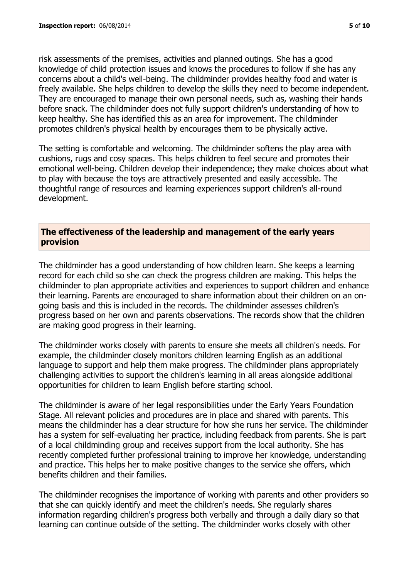risk assessments of the premises, activities and planned outings. She has a good knowledge of child protection issues and knows the procedures to follow if she has any concerns about a child's well-being. The childminder provides healthy food and water is freely available. She helps children to develop the skills they need to become independent. They are encouraged to manage their own personal needs, such as, washing their hands before snack. The childminder does not fully support children's understanding of how to keep healthy. She has identified this as an area for improvement. The childminder promotes children's physical health by encourages them to be physically active.

The setting is comfortable and welcoming. The childminder softens the play area with cushions, rugs and cosy spaces. This helps children to feel secure and promotes their emotional well-being. Children develop their independence; they make choices about what to play with because the toys are attractively presented and easily accessible. The thoughtful range of resources and learning experiences support children's all-round development.

## **The effectiveness of the leadership and management of the early years provision**

The childminder has a good understanding of how children learn. She keeps a learning record for each child so she can check the progress children are making. This helps the childminder to plan appropriate activities and experiences to support children and enhance their learning. Parents are encouraged to share information about their children on an ongoing basis and this is included in the records. The childminder assesses children's progress based on her own and parents observations. The records show that the children are making good progress in their learning.

The childminder works closely with parents to ensure she meets all children's needs. For example, the childminder closely monitors children learning English as an additional language to support and help them make progress. The childminder plans appropriately challenging activities to support the children's learning in all areas alongside additional opportunities for children to learn English before starting school.

The childminder is aware of her legal responsibilities under the Early Years Foundation Stage. All relevant policies and procedures are in place and shared with parents. This means the childminder has a clear structure for how she runs her service. The childminder has a system for self-evaluating her practice, including feedback from parents. She is part of a local childminding group and receives support from the local authority. She has recently completed further professional training to improve her knowledge, understanding and practice. This helps her to make positive changes to the service she offers, which benefits children and their families.

The childminder recognises the importance of working with parents and other providers so that she can quickly identify and meet the children's needs. She regularly shares information regarding children's progress both verbally and through a daily diary so that learning can continue outside of the setting. The childminder works closely with other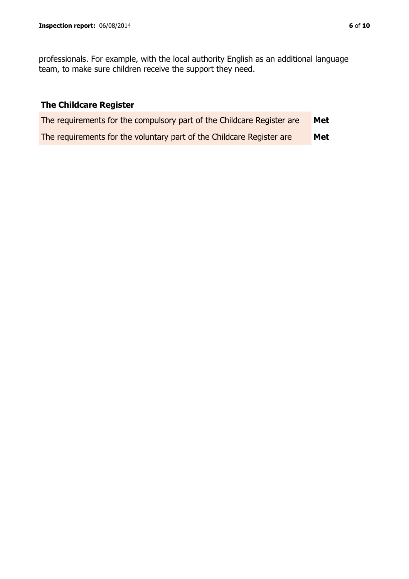professionals. For example, with the local authority English as an additional language team, to make sure children receive the support they need.

# **The Childcare Register**

| The requirements for the compulsory part of the Childcare Register are | Met |
|------------------------------------------------------------------------|-----|
| The requirements for the voluntary part of the Childcare Register are  | Met |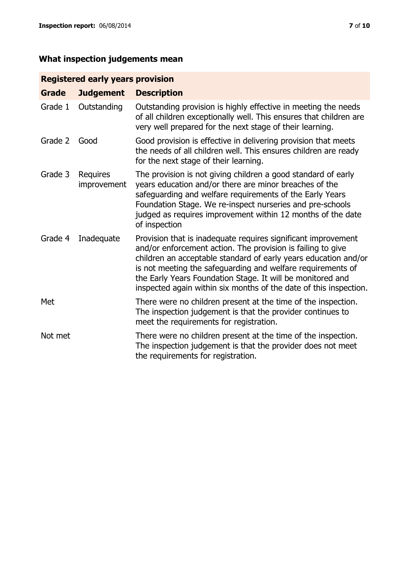# **What inspection judgements mean**

# **Registered early years provision**

| <b>Grade</b> | <b>Judgement</b>        | <b>Description</b>                                                                                                                                                                                                                                                                                                                                                                                |
|--------------|-------------------------|---------------------------------------------------------------------------------------------------------------------------------------------------------------------------------------------------------------------------------------------------------------------------------------------------------------------------------------------------------------------------------------------------|
| Grade 1      | Outstanding             | Outstanding provision is highly effective in meeting the needs<br>of all children exceptionally well. This ensures that children are<br>very well prepared for the next stage of their learning.                                                                                                                                                                                                  |
| Grade 2      | Good                    | Good provision is effective in delivering provision that meets<br>the needs of all children well. This ensures children are ready<br>for the next stage of their learning.                                                                                                                                                                                                                        |
| Grade 3      | Requires<br>improvement | The provision is not giving children a good standard of early<br>years education and/or there are minor breaches of the<br>safeguarding and welfare requirements of the Early Years<br>Foundation Stage. We re-inspect nurseries and pre-schools<br>judged as requires improvement within 12 months of the date<br>of inspection                                                                  |
| Grade 4      | Inadequate              | Provision that is inadequate requires significant improvement<br>and/or enforcement action. The provision is failing to give<br>children an acceptable standard of early years education and/or<br>is not meeting the safeguarding and welfare requirements of<br>the Early Years Foundation Stage. It will be monitored and<br>inspected again within six months of the date of this inspection. |
| Met          |                         | There were no children present at the time of the inspection.<br>The inspection judgement is that the provider continues to<br>meet the requirements for registration.                                                                                                                                                                                                                            |
| Not met      |                         | There were no children present at the time of the inspection.<br>The inspection judgement is that the provider does not meet<br>the requirements for registration.                                                                                                                                                                                                                                |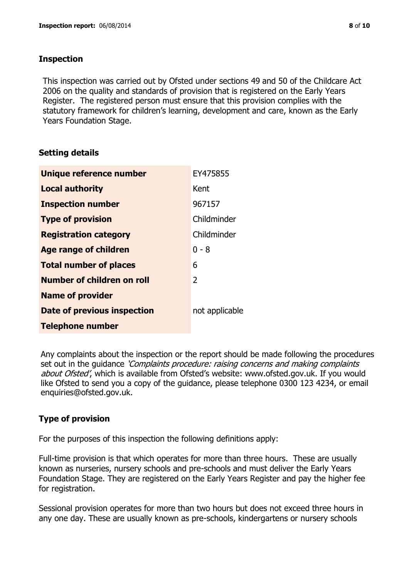## **Inspection**

This inspection was carried out by Ofsted under sections 49 and 50 of the Childcare Act 2006 on the quality and standards of provision that is registered on the Early Years Register. The registered person must ensure that this provision complies with the statutory framework for children's learning, development and care, known as the Early Years Foundation Stage.

## **Setting details**

| Unique reference number       | EY475855       |
|-------------------------------|----------------|
| <b>Local authority</b>        | Kent           |
| <b>Inspection number</b>      | 967157         |
| <b>Type of provision</b>      | Childminder    |
| <b>Registration category</b>  | Childminder    |
| <b>Age range of children</b>  | $0 - 8$        |
| <b>Total number of places</b> | 6              |
| Number of children on roll    | 2              |
| <b>Name of provider</b>       |                |
| Date of previous inspection   | not applicable |
| <b>Telephone number</b>       |                |

Any complaints about the inspection or the report should be made following the procedures set out in the guidance *'Complaints procedure: raising concerns and making complaints* about Ofsted', which is available from Ofsted's website: www.ofsted.gov.uk. If you would like Ofsted to send you a copy of the guidance, please telephone 0300 123 4234, or email enquiries@ofsted.gov.uk.

## **Type of provision**

For the purposes of this inspection the following definitions apply:

Full-time provision is that which operates for more than three hours. These are usually known as nurseries, nursery schools and pre-schools and must deliver the Early Years Foundation Stage. They are registered on the Early Years Register and pay the higher fee for registration.

Sessional provision operates for more than two hours but does not exceed three hours in any one day. These are usually known as pre-schools, kindergartens or nursery schools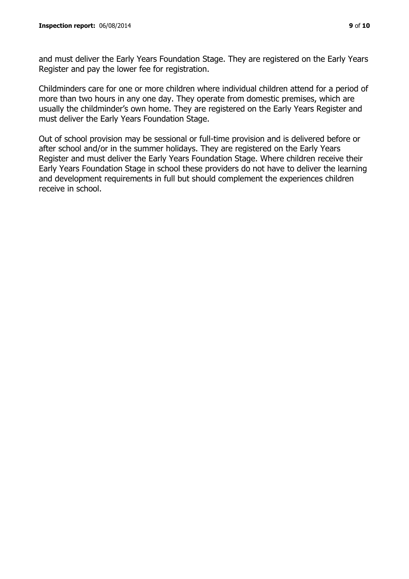and must deliver the Early Years Foundation Stage. They are registered on the Early Years Register and pay the lower fee for registration.

Childminders care for one or more children where individual children attend for a period of more than two hours in any one day. They operate from domestic premises, which are usually the childminder's own home. They are registered on the Early Years Register and must deliver the Early Years Foundation Stage.

Out of school provision may be sessional or full-time provision and is delivered before or after school and/or in the summer holidays. They are registered on the Early Years Register and must deliver the Early Years Foundation Stage. Where children receive their Early Years Foundation Stage in school these providers do not have to deliver the learning and development requirements in full but should complement the experiences children receive in school.